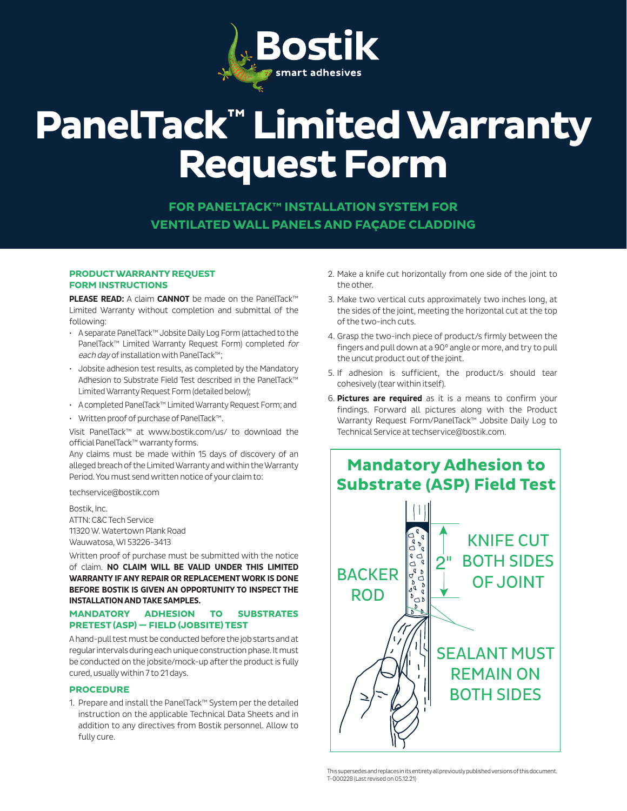

# **PanelTack™ Limited Warranty Request Form**

**FOR PANELTACK™ INSTALLATION SYSTEM FOR VENTILATED WALL PANELS AND FA**Ç**ADE CLADDING**

### **PRODUCT WARRANTY REQUEST FORM INSTRUCTIONS**

**PLEASE READ:** A claim **CANNOT** be made on the PanelTack™ Limited Warranty without completion and submittal of the following:

- A separate PanelTack™ Jobsite Daily Log Form (attached to the PanelTack™ Limited Warranty Request Form) completed for each day of installation with PanelTack™;
- Jobsite adhesion test results, as completed by the Mandatory Adhesion to Substrate Field Test described in the PanelTack™ Limited Warranty Request Form (detailed below);
- A completed PanelTack™ Limited Warranty Request Form; and
- Written proof of purchase of PanelTack™.

Visit PanelTack™ at www.bostik.com/us/ to download the official PanelTack™ warranty forms.

Any claims must be made within 15 days of discovery of an alleged breach of the Limited Warranty and within the Warranty Period. You must send written notice of your claim to:

techservice@bostik.com

Bostik, Inc. ATTN: C&C Tech Service 11320 W. Watertown Plank Road Wauwatosa, WI 53226-3413

Written proof of purchase must be submitted with the notice of claim. **NO CLAIM WILL BE VALID UNDER THIS LIMITED WARRANTY IF ANY REPAIR OR REPLACEMENT WORK IS DONE BEFORE BOSTIK IS GIVEN AN OPPORTUNITY TO INSPECT THE INSTALLATION AND TAKE SAMPLES.** 

## **MANDATORY ADHESION TO SUBSTRATES PRETEST (ASP) — FIELD (JOBSITE) TEST**

A hand-pull test must be conducted before the job starts and at regular intervals during each unique construction phase. It must be conducted on the jobsite/mock-up after the product is fully cured, usually within 7 to 21 days.

### **PROCEDURE**

1. Prepare and install the PanelTack™ System per the detailed instruction on the applicable Technical Data Sheets and in addition to any directives from Bostik personnel. Allow to fully cure.

- 2. Make a knife cut horizontally from one side of the joint to the other.
- 3. Make two vertical cuts approximately two inches long, at the sides of the joint, meeting the horizontal cut at the top of the two-inch cuts.
- 4. Grasp the two-inch piece of product/s firmly between the fingers and pull down at a 90° angle or more, and try to pull the uncut product out of the joint.
- 5. If adhesion is sufficient, the product/s should tear cohesively (tear within itself).
- 6. **Pictures are required** as it is a means to confirm your findings. Forward all pictures along with the Product Warranty Request Form/PanelTack™ Jobsite Daily Log to Technical Service at techservice@bostik.com.